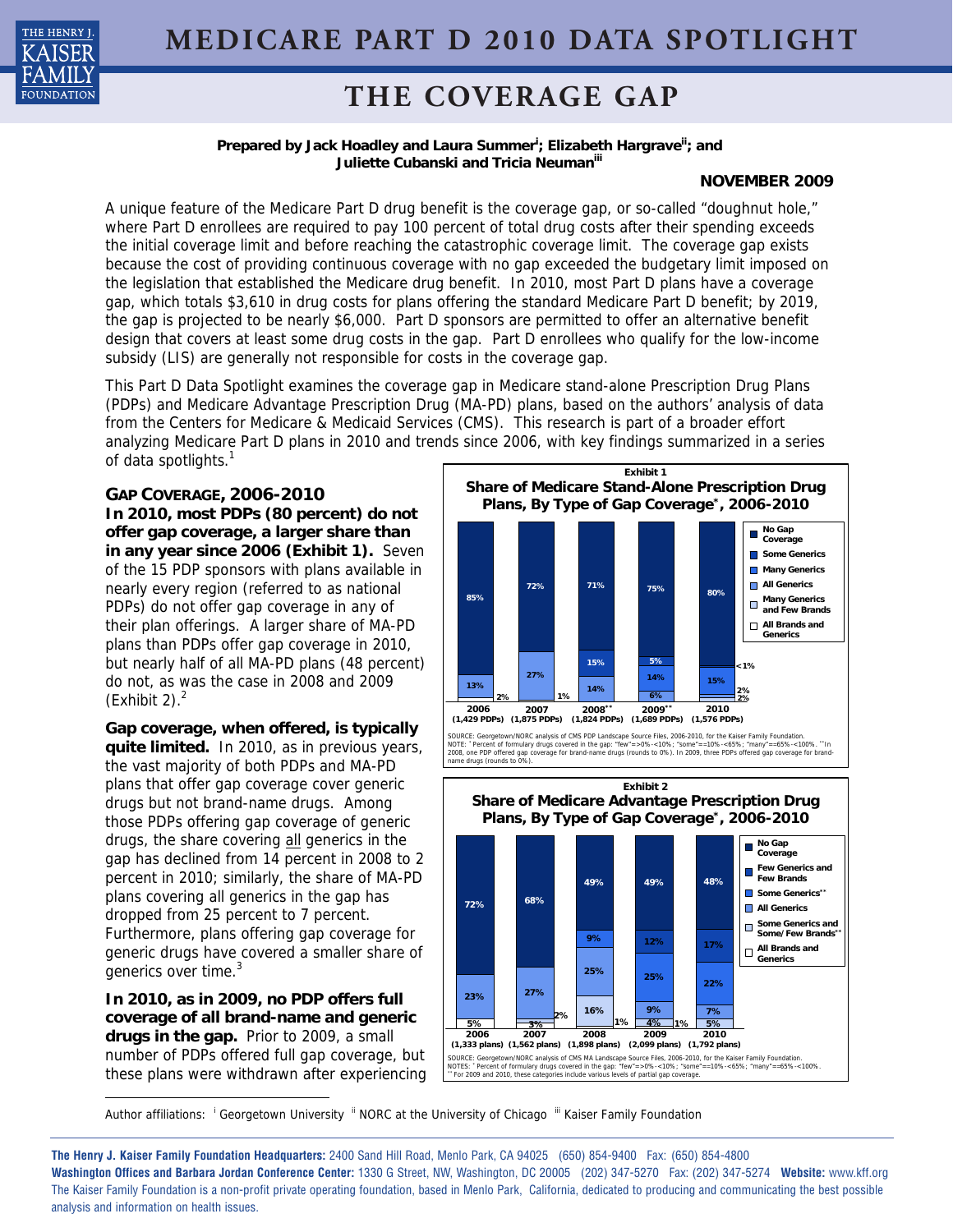

# **THE COVERAGE GAP**

### Prepared by Jack Hoadley and Laura Summer<sup>i</sup>; Elizabeth Hargrave<sup>ii</sup>; and **Juliette Cubanski and Tricia Neumaniii**

## **NOVEMBER 2009**

A unique feature of the Medicare Part D drug benefit is the coverage gap, or so-called "doughnut hole," where Part D enrollees are required to pay 100 percent of total drug costs after their spending exceeds the initial coverage limit and before reaching the catastrophic coverage limit. The coverage gap exists because the cost of providing continuous coverage with no gap exceeded the budgetary limit imposed on the legislation that established the Medicare drug benefit. In 2010, most Part D plans have a coverage gap, which totals \$3,610 in drug costs for plans offering the standard Medicare Part D benefit; by 2019, the gap is projected to be nearly \$6,000. Part D sponsors are permitted to offer an alternative benefit design that covers at least some drug costs in the gap. Part D enrollees who qualify for the low-income subsidy (LIS) are generally not responsible for costs in the coverage gap.

This Part D Data Spotlight examines the coverage gap in Medicare stand-alone Prescription Drug Plans (PDPs) and Medicare Advantage Prescription Drug (MA-PD) plans, based on the authors' analysis of data from the Centers for Medicare & Medicaid Services (CMS). This research is part of a broader effort analyzing Medicare Part D plans in 2010 and trends since 2006, with key findings summarized in a series of data spotlights.<sup>1</sup>

**GAP COVERAGE, 2006-2010 In 2010, most PDPs (80 percent) do not offer gap coverage, a larger share than in any year since 2006 (Exhibit 1).** Seven of the 15 PDP sponsors with plans available in nearly every region (referred to as national PDPs) do not offer gap coverage in any of their plan offerings. A larger share of MA-PD plans than PDPs offer gap coverage in 2010, but nearly half of all MA-PD plans (48 percent) do not, as was the case in 2008 and 2009 (Exhibit 2). $<sup>2</sup>$ </sup>

**Gap coverage, when offered, is typically quite limited.** In 2010, as in previous years, the vast majority of both PDPs and MA-PD plans that offer gap coverage cover generic drugs but not brand-name drugs. Among those PDPs offering gap coverage of generic drugs, the share covering all generics in the gap has declined from 14 percent in 2008 to 2 percent in 2010; similarly, the share of MA-PD plans covering all generics in the gap has dropped from 25 percent to 7 percent. Furthermore, plans offering gap coverage for generic drugs have covered a smaller share of generics over time.<sup>3</sup>

**In 2010, as in 2009, no PDP offers full coverage of all brand-name and generic drugs in the gap.** Prior to 2009, a small number of PDPs offered full gap coverage, but these plans were withdrawn after experiencing



SOURCE: Georgetown/NORC analysis of CMS MA Landscape Source Files, 2006-2010, for the Kaiser Family Foundation.<br>NOTES: "Percent of formulary drugs covered in the gap: "few"=>0%-<10%; "some"==10%-<65%; "many"==65%-<100%<br>``F Note of the gap: "few"=>0%-<10%<br>covered in the gap: "few"=>0%-<10%<br>es include various levels of partial gap co **(1,333 plans) (1,562 plans) (1,898 plans) (2,099 plans) (1,792 plans)**

1 Author affiliations: <sup>i</sup> Georgetown University <sup>ii</sup> NORC at the University of Chicago <sup>iii</sup> Kaiser Family Foundation

**The Henry J. Kaiser Family Foundation Headquarters:** 2400 Sand Hill Road, Menlo Park, CA 94025 (650) 854-9400 Fax: (650) 854-4800 **Washington Offices and Barbara Jordan Conference Center:** 1330 G Street, NW, Washington, DC 20005 (202) 347-5270 Fax: (202) 347-5274 **Website:** www.kff.org The Kaiser Family Foundation is a non-profit private operating foundation, based in Menlo Park, California, dedicated to producing and communicating the best possible analysis and information on health issues.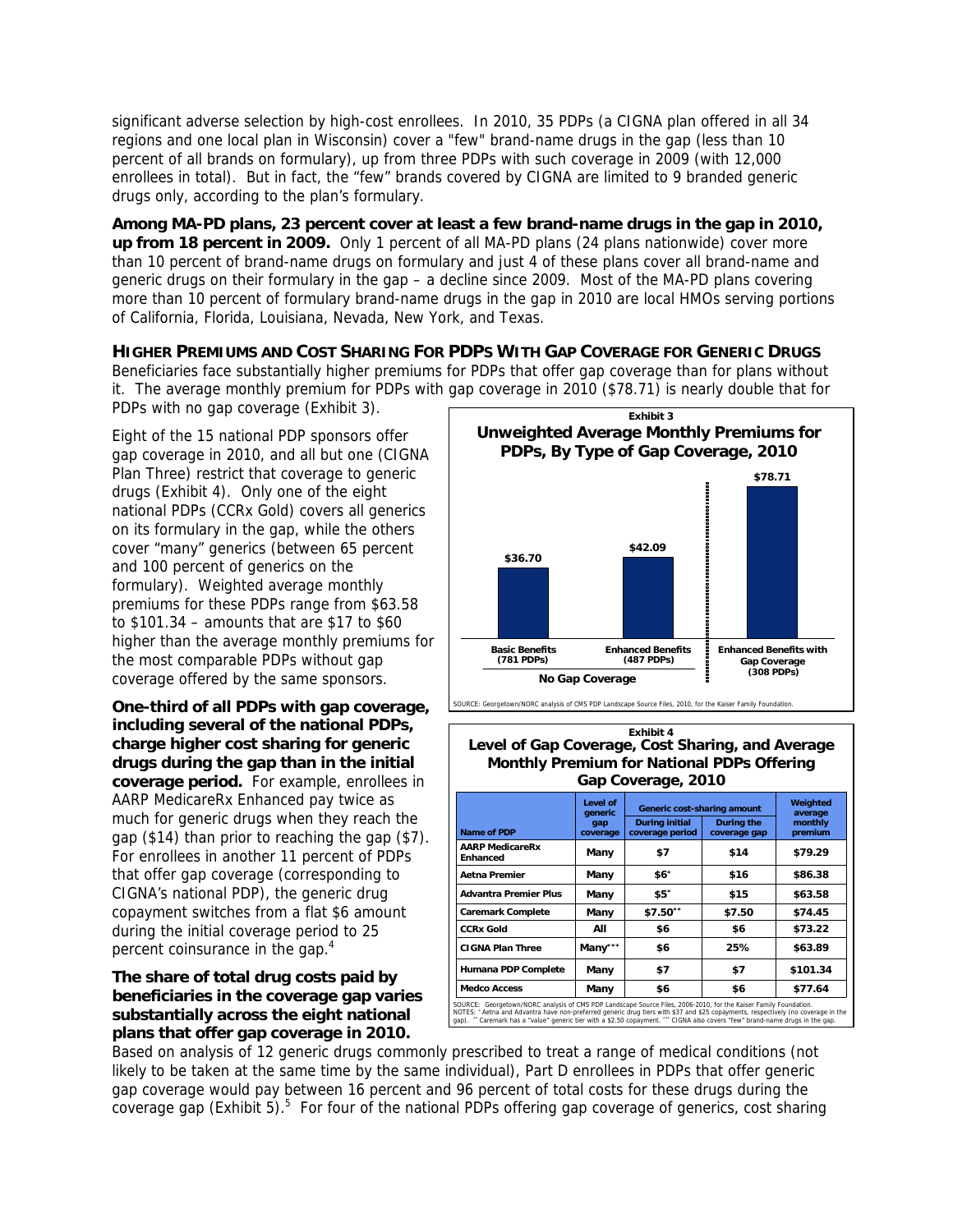significant adverse selection by high-cost enrollees. In 2010, 35 PDPs (a CIGNA plan offered in all 34 regions and one local plan in Wisconsin) cover a "few" brand-name drugs in the gap (less than 10 percent of all brands on formulary), up from three PDPs with such coverage in 2009 (with 12,000 enrollees in total). But in fact, the "few" brands covered by CIGNA are limited to 9 branded generic drugs only, according to the plan's formulary.

**Among MA-PD plans, 23 percent cover at least a few brand-name drugs in the gap in 2010, up from 18 percent in 2009.** Only 1 percent of all MA-PD plans (24 plans nationwide) cover more than 10 percent of brand-name drugs on formulary and just 4 of these plans cover all brand-name and generic drugs on their formulary in the gap – a decline since 2009. Most of the MA-PD plans covering more than 10 percent of formulary brand-name drugs in the gap in 2010 are local HMOs serving portions of California, Florida, Louisiana, Nevada, New York, and Texas.

**HIGHER PREMIUMS AND COST SHARING FOR PDPS WITH GAP COVERAGE FOR GENERIC DRUGS** Beneficiaries face substantially higher premiums for PDPs that offer gap coverage than for plans without it. The average monthly premium for PDPs with gap coverage in 2010 (\$78.71) is nearly double that for PDPs with no gap coverage (Exhibit 3).

Eight of the 15 national PDP sponsors offer gap coverage in 2010, and all but one (CIGNA Plan Three) restrict that coverage to generic drugs (Exhibit 4). Only one of the eight national PDPs (CCRx Gold) covers all generics on its formulary in the gap, while the others cover "many" generics (between 65 percent and 100 percent of generics on the formulary). Weighted average monthly premiums for these PDPs range from \$63.58 to \$101.34 – amounts that are \$17 to \$60 higher than the average monthly premiums for the most comparable PDPs without gap coverage offered by the same sponsors.

**One-third of all PDPs with gap coverage, including several of the national PDPs, charge higher cost sharing for generic drugs during the gap than in the initial coverage period.** For example, enrollees in AARP MedicareRx Enhanced pay twice as much for generic drugs when they reach the gap (\$14) than prior to reaching the gap (\$7). For enrollees in another 11 percent of PDPs that offer gap coverage (corresponding to CIGNA's national PDP), the generic drug copayment switches from a flat \$6 amount during the initial coverage period to 25 percent coinsurance in the gap.<sup>4</sup>

## **The share of total drug costs paid by beneficiaries in the coverage gap varies substantially across the eight national plans that offer gap coverage in 2010.**



#### **Level of Gap Coverage, Cost Sharing, and Average Monthly Premium for National PDPs Offering Gap Coverage, 2010 Exhibit 4**

| Name of PDP                               | Level of<br>qeneric<br>gap<br>coverage | Generic cost-sharing amount              |                            | Weighted<br>average |
|-------------------------------------------|----------------------------------------|------------------------------------------|----------------------------|---------------------|
|                                           |                                        | <b>During initial</b><br>coverage period | During the<br>coverage gap | monthly<br>premium  |
| <b>AARP MedicareRx</b><br><b>Enhanced</b> | Many                                   | \$7                                      | \$14                       | \$79.29             |
| Aetna Premier                             | Many                                   | \$6"                                     | \$16                       | \$86.38             |
| <b>Advantra Premier Plus</b>              | Many                                   | \$5"                                     | \$15                       | \$63.58             |
| <b>Caremark Complete</b>                  | Many                                   | \$7.50**                                 | \$7.50                     | \$74.45             |
| <b>CCRx Gold</b>                          | All                                    | \$6                                      | \$6                        | \$73.22             |
| <b>CIGNA Plan Three</b>                   | Many***                                | \$6                                      | 25%                        | \$63.89             |
| Humana PDP Complete                       | Many                                   | \$7                                      | \$7                        | \$101.34            |
| <b>Medco Access</b>                       | Many                                   | \$6                                      | \$6                        | \$77.64             |

NOTES: \* Aetna and Advantra have non-preferred generic drug tiers with \$37 and \$25 copayments, respectively (no coverage in the heric tier with a \$2.50 copayment. \*\*\* CIGNA also covers "few" brand-name drugs in the gap.

Based on analysis of 12 generic drugs commonly prescribed to treat a range of medical conditions (not likely to be taken at the same time by the same individual), Part D enrollees in PDPs that offer generic gap coverage would pay between 16 percent and 96 percent of total costs for these drugs during the coverage gap (Exhibit 5).<sup>5</sup> For four of the national PDPs offering gap coverage of generics, cost sharing